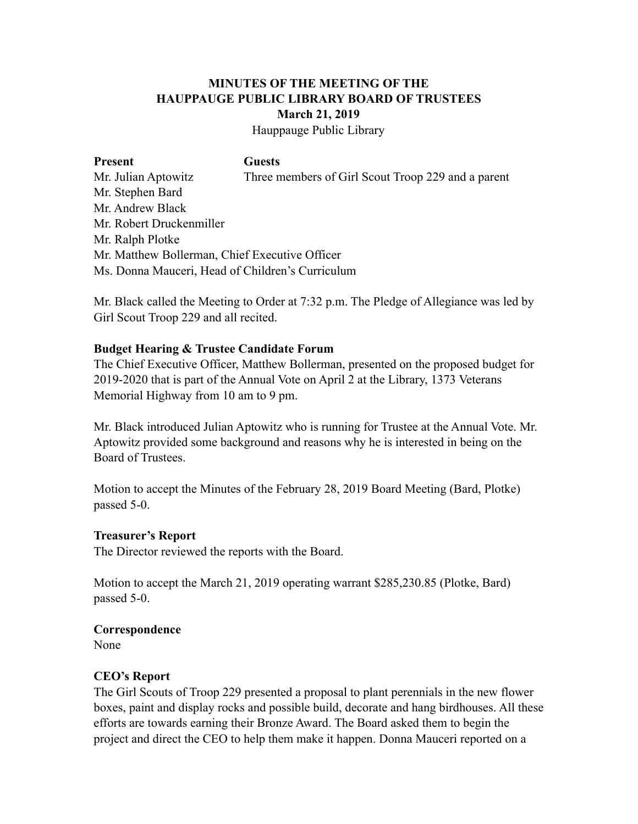# **MINUTES OF THE MEETING OF THE HAUPPAUGE PUBLIC LIBRARY BOARD OF TRUSTEES March 21, 2019**

Hauppauge Public Library

#### Present Guests

Mr. Julian Aptowitz Three members of Girl Scout Troop 229 and a parent Mr. Stephen Bard Mr. Andrew Black Mr. Robert Druckenmiller Mr. Ralph Plotke Mr. Matthew Bollerman, Chief Executive Officer Ms. Donna Mauceri, Head of Children's Curriculum

Mr. Black called the Meeting to Order at 7:32 p.m. The Pledge of Allegiance was led by Girl Scout Troop 229 and all recited.

## **Budget Hearing & Trustee Candidate Forum**

The Chief Executive Officer, Matthew Bollerman, presented on the proposed budget for 2019-2020 that is part of the Annual Vote on April 2 at the Library, 1373 Veterans Memorial Highway from 10 am to 9 pm.

Mr. Black introduced Julian Aptowitz who is running for Trustee at the Annual Vote. Mr. Aptowitz provided some background and reasons why he is interested in being on the Board of Trustees.

Motion to accept the Minutes of the February 28, 2019 Board Meeting (Bard, Plotke) passed 5-0.

### **Treasurer's Report**

The Director reviewed the reports with the Board.

Motion to accept the March 21, 2019 operating warrant \$285,230.85 (Plotke, Bard) passed 5-0.

### **Correspondence**

None

# **CEO's Report**

The Girl Scouts of Troop 229 presented a proposal to plant perennials in the new flower boxes, paint and display rocks and possible build, decorate and hang birdhouses. All these efforts are towards earning their Bronze Award. The Board asked them to begin the project and direct the CEO to help them make it happen. Donna Mauceri reported on a